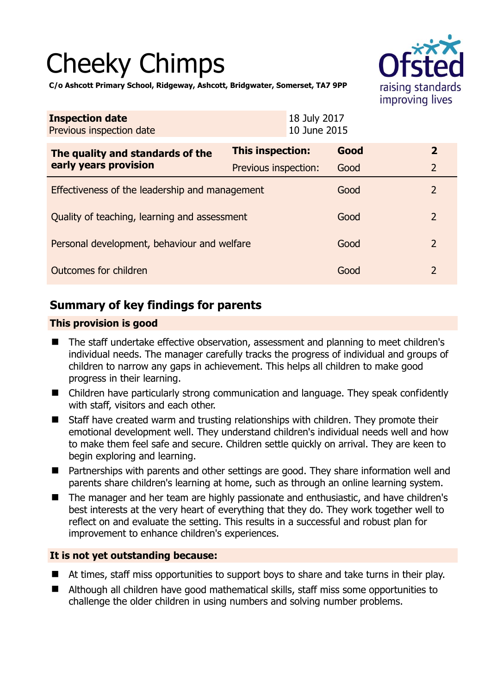# Cheeky Chimps



**C/o Ashcott Primary School, Ridgeway, Ashcott, Bridgwater, Somerset, TA7 9PP** 

| <b>Inspection date</b><br>Previous inspection date        |                      | 18 July 2017<br>10 June 2015 |                |
|-----------------------------------------------------------|----------------------|------------------------------|----------------|
| The quality and standards of the<br>early years provision | This inspection:     | Good                         | $\overline{2}$ |
|                                                           | Previous inspection: | Good                         | $\overline{2}$ |
| Effectiveness of the leadership and management            |                      | Good                         | 2              |
| Quality of teaching, learning and assessment              |                      | Good                         | $\overline{2}$ |
| Personal development, behaviour and welfare               |                      | Good                         | $\overline{2}$ |
| Outcomes for children                                     |                      | Good                         | $\overline{2}$ |

# **Summary of key findings for parents**

## **This provision is good**

- The staff undertake effective observation, assessment and planning to meet children's individual needs. The manager carefully tracks the progress of individual and groups of children to narrow any gaps in achievement. This helps all children to make good progress in their learning.
- Children have particularly strong communication and language. They speak confidently with staff, visitors and each other.
- Staff have created warm and trusting relationships with children. They promote their emotional development well. They understand children's individual needs well and how to make them feel safe and secure. Children settle quickly on arrival. They are keen to begin exploring and learning.
- Partnerships with parents and other settings are good. They share information well and parents share children's learning at home, such as through an online learning system.
- The manager and her team are highly passionate and enthusiastic, and have children's best interests at the very heart of everything that they do. They work together well to reflect on and evaluate the setting. This results in a successful and robust plan for improvement to enhance children's experiences.

## **It is not yet outstanding because:**

- At times, staff miss opportunities to support boys to share and take turns in their play.
- Although all children have good mathematical skills, staff miss some opportunities to challenge the older children in using numbers and solving number problems.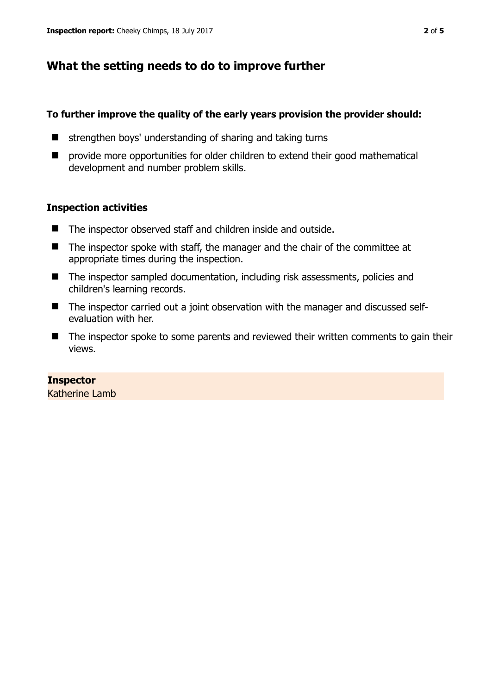# **What the setting needs to do to improve further**

### **To further improve the quality of the early years provision the provider should:**

- $\blacksquare$  strengthen boys' understanding of sharing and taking turns
- $\blacksquare$  provide more opportunities for older children to extend their good mathematical development and number problem skills.

## **Inspection activities**

- The inspector observed staff and children inside and outside.
- The inspector spoke with staff, the manager and the chair of the committee at appropriate times during the inspection.
- The inspector sampled documentation, including risk assessments, policies and children's learning records.
- The inspector carried out a joint observation with the manager and discussed selfevaluation with her.
- The inspector spoke to some parents and reviewed their written comments to gain their views.

## **Inspector**

Katherine Lamb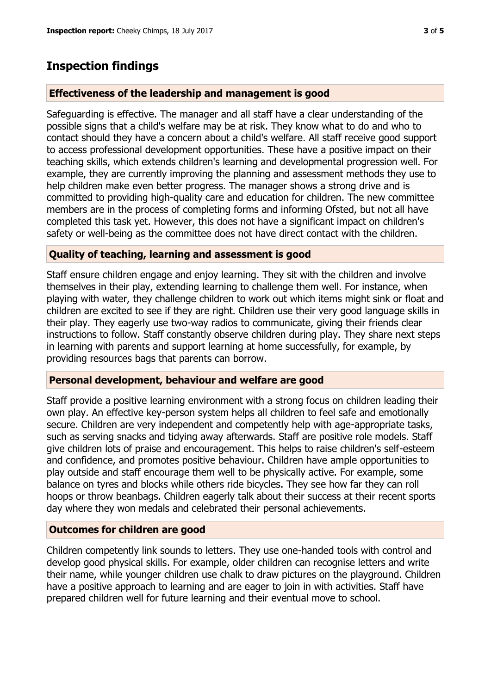## **Inspection findings**

#### **Effectiveness of the leadership and management is good**

Safeguarding is effective. The manager and all staff have a clear understanding of the possible signs that a child's welfare may be at risk. They know what to do and who to contact should they have a concern about a child's welfare. All staff receive good support to access professional development opportunities. These have a positive impact on their teaching skills, which extends children's learning and developmental progression well. For example, they are currently improving the planning and assessment methods they use to help children make even better progress. The manager shows a strong drive and is committed to providing high-quality care and education for children. The new committee members are in the process of completing forms and informing Ofsted, but not all have completed this task yet. However, this does not have a significant impact on children's safety or well-being as the committee does not have direct contact with the children.

#### **Quality of teaching, learning and assessment is good**

Staff ensure children engage and enjoy learning. They sit with the children and involve themselves in their play, extending learning to challenge them well. For instance, when playing with water, they challenge children to work out which items might sink or float and children are excited to see if they are right. Children use their very good language skills in their play. They eagerly use two-way radios to communicate, giving their friends clear instructions to follow. Staff constantly observe children during play. They share next steps in learning with parents and support learning at home successfully, for example, by providing resources bags that parents can borrow.

#### **Personal development, behaviour and welfare are good**

Staff provide a positive learning environment with a strong focus on children leading their own play. An effective key-person system helps all children to feel safe and emotionally secure. Children are very independent and competently help with age-appropriate tasks, such as serving snacks and tidying away afterwards. Staff are positive role models. Staff give children lots of praise and encouragement. This helps to raise children's self-esteem and confidence, and promotes positive behaviour. Children have ample opportunities to play outside and staff encourage them well to be physically active. For example, some balance on tyres and blocks while others ride bicycles. They see how far they can roll hoops or throw beanbags. Children eagerly talk about their success at their recent sports day where they won medals and celebrated their personal achievements.

#### **Outcomes for children are good**

Children competently link sounds to letters. They use one-handed tools with control and develop good physical skills. For example, older children can recognise letters and write their name, while younger children use chalk to draw pictures on the playground. Children have a positive approach to learning and are eager to join in with activities. Staff have prepared children well for future learning and their eventual move to school.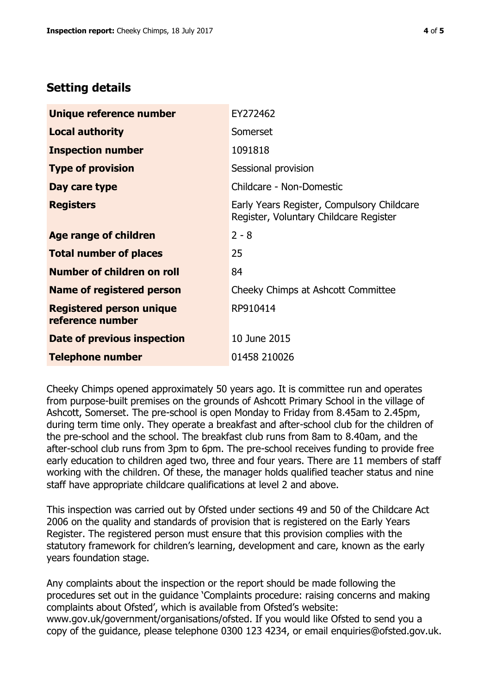## **Setting details**

| Unique reference number                             | EY272462                                                                             |  |
|-----------------------------------------------------|--------------------------------------------------------------------------------------|--|
| <b>Local authority</b>                              | Somerset                                                                             |  |
| <b>Inspection number</b>                            | 1091818                                                                              |  |
| <b>Type of provision</b>                            | Sessional provision                                                                  |  |
| Day care type                                       | Childcare - Non-Domestic                                                             |  |
| <b>Registers</b>                                    | Early Years Register, Compulsory Childcare<br>Register, Voluntary Childcare Register |  |
| Age range of children                               | $2 - 8$                                                                              |  |
| <b>Total number of places</b>                       | 25                                                                                   |  |
| Number of children on roll                          | 84                                                                                   |  |
| Name of registered person                           | Cheeky Chimps at Ashcott Committee                                                   |  |
| <b>Registered person unique</b><br>reference number | RP910414                                                                             |  |
| Date of previous inspection                         | 10 June 2015                                                                         |  |
| <b>Telephone number</b>                             | 01458 210026                                                                         |  |

Cheeky Chimps opened approximately 50 years ago. It is committee run and operates from purpose-built premises on the grounds of Ashcott Primary School in the village of Ashcott, Somerset. The pre-school is open Monday to Friday from 8.45am to 2.45pm, during term time only. They operate a breakfast and after-school club for the children of the pre-school and the school. The breakfast club runs from 8am to 8.40am, and the after-school club runs from 3pm to 6pm. The pre-school receives funding to provide free early education to children aged two, three and four years. There are 11 members of staff working with the children. Of these, the manager holds qualified teacher status and nine staff have appropriate childcare qualifications at level 2 and above.

This inspection was carried out by Ofsted under sections 49 and 50 of the Childcare Act 2006 on the quality and standards of provision that is registered on the Early Years Register. The registered person must ensure that this provision complies with the statutory framework for children's learning, development and care, known as the early years foundation stage.

Any complaints about the inspection or the report should be made following the procedures set out in the guidance 'Complaints procedure: raising concerns and making complaints about Ofsted', which is available from Ofsted's website: www.gov.uk/government/organisations/ofsted. If you would like Ofsted to send you a copy of the guidance, please telephone 0300 123 4234, or email enquiries@ofsted.gov.uk.